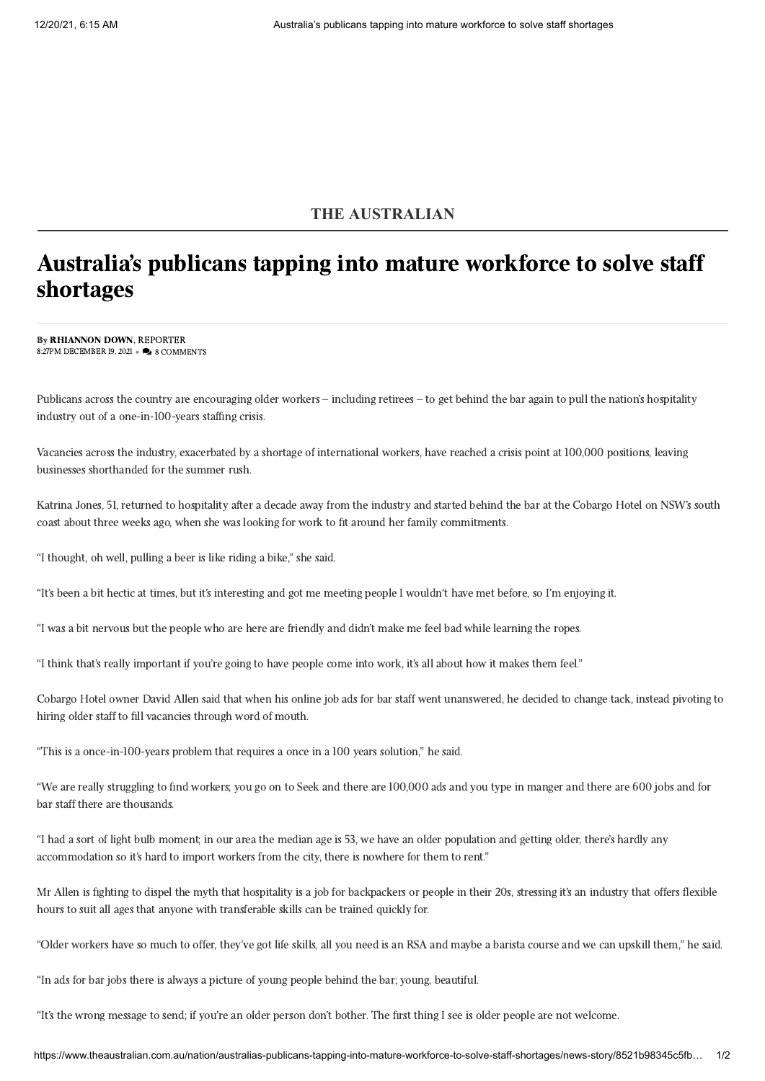## **THE AUSTRALIAN**

## Australia's publicans tapping into mature workforce to solve staff shortages

By [RHIANNON DOWN,](https://www.theaustralian.com.au/author/Rhiannon+Down) REPORTER 8:27PM DECEMBER 19, 2021 • A 8 COMMENTS

Publicans across the country are encouraging older workers – including retirees – to get behind the bar again to pull the nation's hospitality industry out of a one-in-100-years staffing crisis.

Vacancies across the industry, exacerbated by a shortage of international workers, have reached a crisis point at 100,000 positions, leaving businesses shorthanded for the summer rush.

Katrina Jones, 51, returned to hospitality after a decade away from the industry and started behind the bar at the Cobargo Hotel on NSW's south coast about three weeks ago, when she was looking for work to fit around her family commitments.

"I thought, oh well, pulling a beer is like riding a bike," she said.

"It's been a bit hectic at times, but it's interesting and got me meeting people I wouldn't have met before, so I'm enjoying it.

"I was a bit nervous but the people who are here are friendly and didn't make me feel bad while learning the ropes.

"I think that's really important if you're going to have people come into work, it's all about how it makes them feel."

Cobargo Hotel owner David Allen said that when his online job ads for bar staff went unanswered, he decided to change tack, instead pivoting to hiring older staff to fill vacancies through word of mouth.

"This is a once-in-100-years problem that requires a once in a 100 years solution," he said.

"We are really struggling to find workers; you go on to Seek and there are 100,000 ads and you type in manger and there are 600 jobs and for bar staff there are thousands.

"I had a sort of light bulb moment; in our area the median age is 53, we have an older population and getting older, there's hardly any accommodation so it's hard to import workers from the city, there is nowhere for them to rent."

Mr Allen is fighting to dispel the myth that hospitality is a job for backpackers or people in their 20s, stressing it's an industry that offers flexible hours to suit all ages that anyone with transferable skills can be trained quickly for.

"Older workers have so much to offer, they've got life skills, all you need is an RSA and maybe a barista course and we can upskill them," he said.

"In ads for bar jobs there is always a picture of young people behind the bar; young, beautiful.

"It's the wrong message to send; if you're an older person don't bother. The first thing I see is older people are not welcome.